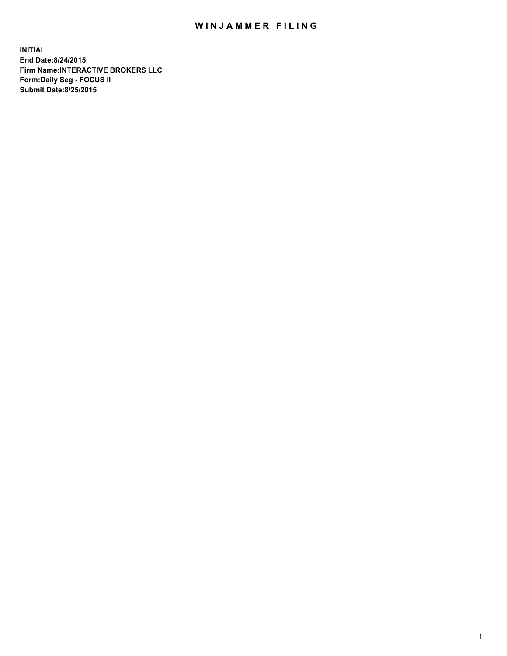## WIN JAMMER FILING

**INITIAL End Date:8/24/2015 Firm Name:INTERACTIVE BROKERS LLC Form:Daily Seg - FOCUS II Submit Date:8/25/2015**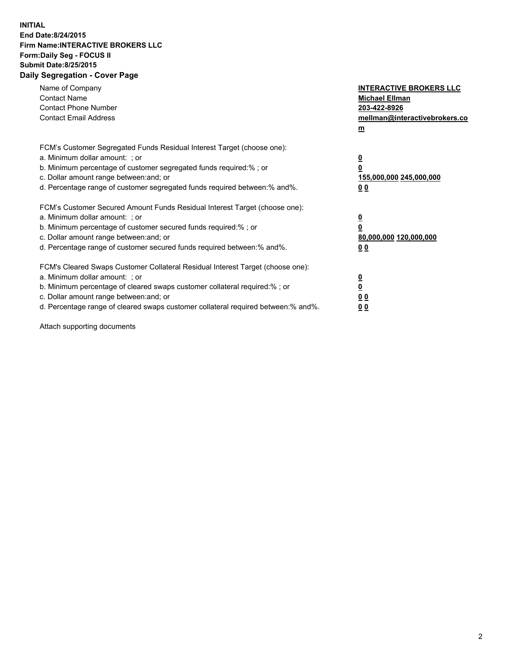## **INITIAL End Date:8/24/2015 Firm Name:INTERACTIVE BROKERS LLC Form:Daily Seg - FOCUS II Submit Date:8/25/2015 Daily Segregation - Cover Page**

| Name of Company<br><b>Contact Name</b><br><b>Contact Phone Number</b><br><b>Contact Email Address</b>                                                                                                                                                                                                                          | <b>INTERACTIVE BROKERS LLC</b><br><b>Michael Ellman</b><br>203-422-8926<br>mellman@interactivebrokers.co<br>$m$ |
|--------------------------------------------------------------------------------------------------------------------------------------------------------------------------------------------------------------------------------------------------------------------------------------------------------------------------------|-----------------------------------------------------------------------------------------------------------------|
| FCM's Customer Segregated Funds Residual Interest Target (choose one):<br>a. Minimum dollar amount: ; or<br>b. Minimum percentage of customer segregated funds required:% ; or<br>c. Dollar amount range between: and; or<br>d. Percentage range of customer segregated funds required between: % and %.                       | $\overline{\mathbf{0}}$<br>0<br>155,000,000 245,000,000<br>00                                                   |
| FCM's Customer Secured Amount Funds Residual Interest Target (choose one):<br>a. Minimum dollar amount: ; or<br>b. Minimum percentage of customer secured funds required:%; or<br>c. Dollar amount range between: and; or<br>d. Percentage range of customer secured funds required between: % and %.                          | $\overline{\mathbf{0}}$<br>0<br>80,000,000 120,000,000<br>0 <sub>0</sub>                                        |
| FCM's Cleared Swaps Customer Collateral Residual Interest Target (choose one):<br>a. Minimum dollar amount: ; or<br>b. Minimum percentage of cleared swaps customer collateral required:% ; or<br>c. Dollar amount range between: and; or<br>d. Percentage range of cleared swaps customer collateral required between:% and%. | $\overline{\mathbf{0}}$<br>$\underline{\mathbf{0}}$<br>0 <sub>0</sub><br>0 <sub>0</sub>                         |

Attach supporting documents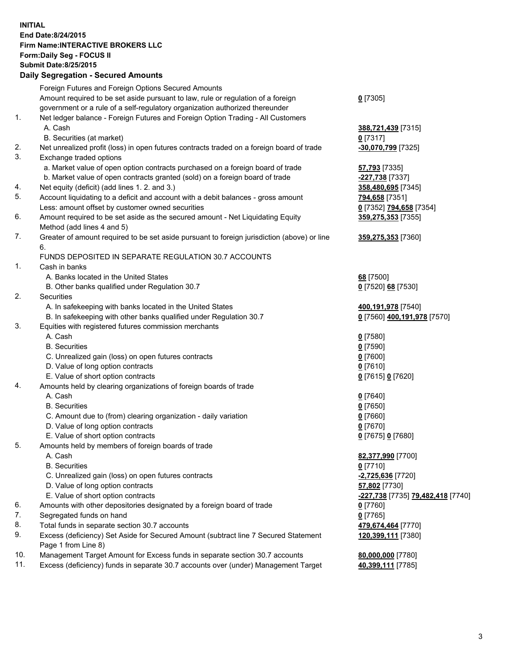## **INITIAL End Date:8/24/2015 Firm Name:INTERACTIVE BROKERS LLC Form:Daily Seg - FOCUS II Submit Date:8/25/2015 Daily Segregation - Secured Amounts**

|     | Dany Ocgregation - Oceanea Annoanta                                                                        |                                                         |
|-----|------------------------------------------------------------------------------------------------------------|---------------------------------------------------------|
|     | Foreign Futures and Foreign Options Secured Amounts                                                        |                                                         |
|     | Amount required to be set aside pursuant to law, rule or regulation of a foreign                           | $0$ [7305]                                              |
|     | government or a rule of a self-regulatory organization authorized thereunder                               |                                                         |
| 1.  | Net ledger balance - Foreign Futures and Foreign Option Trading - All Customers                            |                                                         |
|     | A. Cash                                                                                                    | 388,721,439 [7315]                                      |
|     | B. Securities (at market)                                                                                  | $0$ [7317]                                              |
| 2.  | Net unrealized profit (loss) in open futures contracts traded on a foreign board of trade                  | -30,070,799 [7325]                                      |
| 3.  | Exchange traded options                                                                                    |                                                         |
|     | a. Market value of open option contracts purchased on a foreign board of trade                             | 57,793 [7335]                                           |
|     | b. Market value of open contracts granted (sold) on a foreign board of trade                               | -227,738 [7337]                                         |
| 4.  | Net equity (deficit) (add lines 1.2. and 3.)                                                               | 358,480,695 [7345]                                      |
| 5.  | Account liquidating to a deficit and account with a debit balances - gross amount                          | <mark>794,658</mark> [7351]                             |
|     | Less: amount offset by customer owned securities                                                           | 0 [7352] 794,658 [7354]                                 |
| 6.  | Amount required to be set aside as the secured amount - Net Liquidating Equity                             | 359,275,353 [7355]                                      |
|     | Method (add lines 4 and 5)                                                                                 |                                                         |
| 7.  | Greater of amount required to be set aside pursuant to foreign jurisdiction (above) or line                | 359,275,353 [7360]                                      |
|     | 6.                                                                                                         |                                                         |
|     | FUNDS DEPOSITED IN SEPARATE REGULATION 30.7 ACCOUNTS                                                       |                                                         |
| 1.  | Cash in banks                                                                                              |                                                         |
|     | A. Banks located in the United States                                                                      | 68 [7500]                                               |
|     | B. Other banks qualified under Regulation 30.7                                                             | 0 [7520] 68 [7530]                                      |
| 2.  | Securities                                                                                                 |                                                         |
|     | A. In safekeeping with banks located in the United States                                                  | 400,191,978 [7540]                                      |
|     | B. In safekeeping with other banks qualified under Regulation 30.7                                         | 0 [7560] 400,191,978 [7570]                             |
| 3.  | Equities with registered futures commission merchants                                                      |                                                         |
|     | A. Cash                                                                                                    | $0$ [7580]                                              |
|     | <b>B.</b> Securities                                                                                       | $0$ [7590]                                              |
|     | C. Unrealized gain (loss) on open futures contracts                                                        | $0$ [7600]                                              |
|     | D. Value of long option contracts                                                                          | $0$ [7610]                                              |
|     | E. Value of short option contracts                                                                         | 0 [7615] 0 [7620]                                       |
| 4.  | Amounts held by clearing organizations of foreign boards of trade                                          |                                                         |
|     | A. Cash                                                                                                    | $0$ [7640]                                              |
|     | <b>B.</b> Securities                                                                                       | $0$ [7650]                                              |
|     | C. Amount due to (from) clearing organization - daily variation                                            | $0$ [7660]                                              |
|     | D. Value of long option contracts                                                                          | $0$ [7670]                                              |
|     | E. Value of short option contracts                                                                         | 0 [7675] 0 [7680]                                       |
| 5.  | Amounts held by members of foreign boards of trade                                                         |                                                         |
|     | A. Cash                                                                                                    | 82,377,990 [7700]                                       |
|     | <b>B.</b> Securities                                                                                       | $0$ [7710]                                              |
|     | C. Unrealized gain (loss) on open futures contracts                                                        | -2,725,636 [7720]                                       |
|     | D. Value of long option contracts                                                                          | 57,802 [7730]                                           |
|     | E. Value of short option contracts                                                                         | <u>-<b>227,738</b> [</u> 7735] <u>79,482,418</u> [7740] |
| 6.  | Amounts with other depositories designated by a foreign board of trade                                     | 0 [7760]                                                |
| 7.  | Segregated funds on hand                                                                                   | $0$ [7765]                                              |
| 8.  | Total funds in separate section 30.7 accounts                                                              | 479,674,464 [7770]                                      |
| 9.  | Excess (deficiency) Set Aside for Secured Amount (subtract line 7 Secured Statement<br>Page 1 from Line 8) | 120,399,111 [7380]                                      |
| 10. | Management Target Amount for Excess funds in separate section 30.7 accounts                                | 80,000,000 [7780]                                       |
| 11. | Excess (deficiency) funds in separate 30.7 accounts over (under) Management Target                         | 40,399,111 [7785]                                       |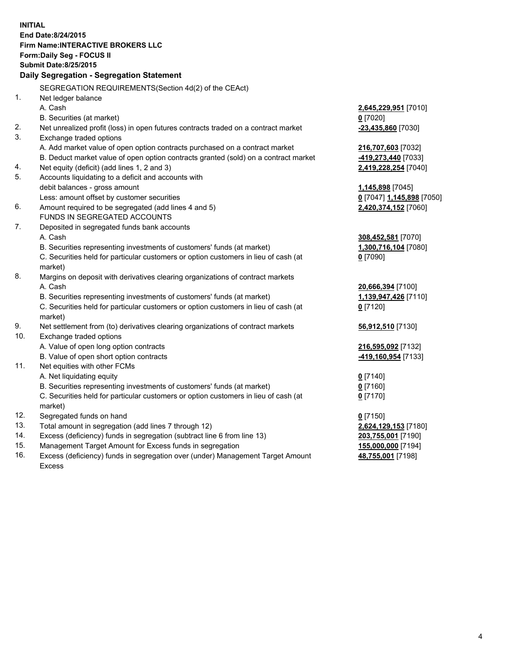**INITIAL End Date:8/24/2015 Firm Name:INTERACTIVE BROKERS LLC Form:Daily Seg - FOCUS II Submit Date:8/25/2015 Daily Segregation - Segregation Statement** SEGREGATION REQUIREMENTS(Section 4d(2) of the CEAct) 1. Net ledger balance A. Cash **2,645,229,951** [7010] B. Securities (at market) **0** [7020] 2. Net unrealized profit (loss) in open futures contracts traded on a contract market **-23,435,860** [7030] 3. Exchange traded options A. Add market value of open option contracts purchased on a contract market **216,707,603** [7032] B. Deduct market value of open option contracts granted (sold) on a contract market **-419,273,440** [7033] 4. Net equity (deficit) (add lines 1, 2 and 3) **2,419,228,254** [7040] 5. Accounts liquidating to a deficit and accounts with debit balances - gross amount **1,145,898** [7045] Less: amount offset by customer securities **0** [7047] **1,145,898** [7050] 6. Amount required to be segregated (add lines 4 and 5) **2,420,374,152** [7060] FUNDS IN SEGREGATED ACCOUNTS 7. Deposited in segregated funds bank accounts A. Cash **308,452,581** [7070] B. Securities representing investments of customers' funds (at market) **1,300,716,104** [7080] C. Securities held for particular customers or option customers in lieu of cash (at market) **0** [7090] 8. Margins on deposit with derivatives clearing organizations of contract markets A. Cash **20,666,394** [7100] B. Securities representing investments of customers' funds (at market) **1,139,947,426** [7110] C. Securities held for particular customers or option customers in lieu of cash (at market) **0** [7120] 9. Net settlement from (to) derivatives clearing organizations of contract markets **56,912,510** [7130] 10. Exchange traded options A. Value of open long option contracts **216,595,092** [7132] B. Value of open short option contracts **-419,160,954** [7133] 11. Net equities with other FCMs A. Net liquidating equity **0** [7140] B. Securities representing investments of customers' funds (at market) **0** [7160] C. Securities held for particular customers or option customers in lieu of cash (at market) **0** [7170] 12. Segregated funds on hand **0** [7150] 13. Total amount in segregation (add lines 7 through 12) **2,624,129,153** [7180] 14. Excess (deficiency) funds in segregation (subtract line 6 from line 13) **203,755,001** [7190] 15. Management Target Amount for Excess funds in segregation **155,000,000** [7194] **48,755,001** [7198]

16. Excess (deficiency) funds in segregation over (under) Management Target Amount Excess